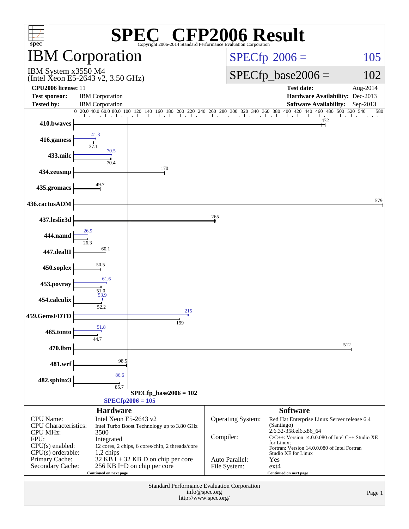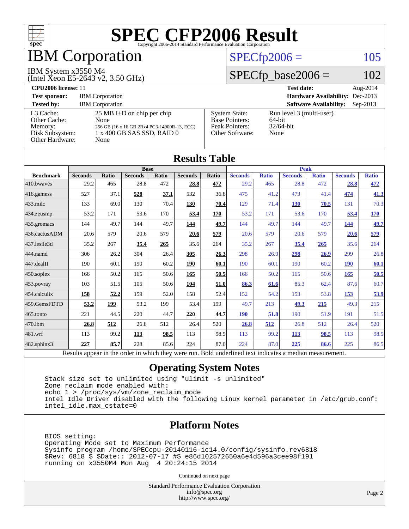

## IBM Corporation

### $SPECfp2006 = 105$  $SPECfp2006 = 105$

#### IBM System x3550 M4

(Intel Xeon E5-2643 v2, 3.50 GHz)

### $SPECfp\_base2006 = 102$

| <b>CPU2006 license: 11</b>                                                 |                                                                                                                                   |                                                                                    | <b>Test date:</b><br>Aug-2014                              |
|----------------------------------------------------------------------------|-----------------------------------------------------------------------------------------------------------------------------------|------------------------------------------------------------------------------------|------------------------------------------------------------|
| <b>Test sponsor:</b>                                                       | <b>IBM</b> Corporation                                                                                                            |                                                                                    | <b>Hardware Availability: Dec-2013</b>                     |
| <b>Tested by:</b>                                                          | <b>IBM</b> Corporation                                                                                                            |                                                                                    | <b>Software Availability:</b><br>$Sep-2013$                |
| L3 Cache:<br>Other Cache:<br>Memory:<br>Disk Subsystem:<br>Other Hardware: | $25 \text{ MB I+D}$ on chip per chip<br>None<br>256 GB (16 x 16 GB 2Rx4 PC3-14900R-13, ECC)<br>1 x 400 GB SAS SSD, RAID 0<br>None | <b>System State:</b><br><b>Base Pointers:</b><br>Peak Pointers:<br>Other Software: | Run level 3 (multi-user)<br>64-bit<br>$32/64$ -bit<br>None |

| <b>Results Table</b>   |                                                                                                          |              |                |       |                |       |                |              |                |              |                |              |
|------------------------|----------------------------------------------------------------------------------------------------------|--------------|----------------|-------|----------------|-------|----------------|--------------|----------------|--------------|----------------|--------------|
|                        | <b>Base</b>                                                                                              |              |                |       | <b>Peak</b>    |       |                |              |                |              |                |              |
| <b>Benchmark</b>       | <b>Seconds</b>                                                                                           | <b>Ratio</b> | <b>Seconds</b> | Ratio | <b>Seconds</b> | Ratio | <b>Seconds</b> | <b>Ratio</b> | <b>Seconds</b> | <b>Ratio</b> | <b>Seconds</b> | <b>Ratio</b> |
| 410.bwayes             | 29.2                                                                                                     | 465          | 28.8           | 472   | 28.8           | 472   | 29.2           | 465          | 28.8           | 472          | 28.8           | 472          |
| 416.gamess             | 527                                                                                                      | 37.1         | 528            | 37.1  | 532            | 36.8  | 475            | 41.2         | 473            | 41.4         | 474            | 41.3         |
| $433$ .milc            | 133                                                                                                      | 69.0         | 130            | 70.4  | 130            | 70.4  | 129            | 71.4         | 130            | 70.5         | 131            | 70.3         |
| $434$ . zeusmp         | 53.2                                                                                                     | 171          | 53.6           | 170   | 53.4           | 170   | 53.2           | 171          | 53.6           | 170          | 53.4           | 170          |
| $435.$ gromacs         | 144                                                                                                      | 49.7         | 144            | 49.7  | 144            | 49.7  | 144            | 49.7         | 144            | 49.7         | 144            | 49.7         |
| 436.cactusADM          | 20.6                                                                                                     | 579          | 20.6           | 579   | 20.6           | 579   | 20.6           | 579          | 20.6           | 579          | 20.6           | 579          |
| 437.leslie3d           | 35.2                                                                                                     | 267          | 35.4           | 265   | 35.6           | 264   | 35.2           | 267          | 35.4           | 265          | 35.6           | 264          |
| 444.namd               | 306                                                                                                      | 26.2         | 304            | 26.4  | 305            | 26.3  | 298            | 26.9         | 298            | 26.9         | 299            | 26.8         |
| $ 447 \text{.}$ dealII | 190                                                                                                      | 60.1         | 190            | 60.2  | 190            | 60.1  | 190            | 60.1         | 190            | 60.2         | <b>190</b>     | 60.1         |
| $450$ .soplex          | 166                                                                                                      | 50.2         | 165            | 50.6  | 165            | 50.5  | 166            | 50.2         | 165            | 50.6         | 165            | 50.5         |
| $453$ .povray          | 103                                                                                                      | 51.5         | 105            | 50.6  | 104            | 51.0  | 86.3           | 61.6         | 85.3           | 62.4         | 87.6           | 60.7         |
| $ 454$ .calculix       | 158                                                                                                      | 52.2         | 159            | 52.0  | 158            | 52.4  | 152            | 54.2         | 153            | 53.8         | <u>153</u>     | 53.9         |
| 459.GemsFDTD           | 53.2                                                                                                     | 199          | 53.2           | 199   | 53.4           | 199   | 49.7           | 213          | 49.3           | 215          | 49.3           | 215          |
| 465.tonto              | 221                                                                                                      | 44.5         | 220            | 44.7  | 220            | 44.7  | <b>190</b>     | 51.8         | 190            | 51.9         | 191            | 51.5         |
| 470.1bm                | 26.8                                                                                                     | 512          | 26.8           | 512   | 26.4           | 520   | 26.8           | 512          | 26.8           | 512          | 26.4           | 520          |
| $481$ .wrf             | 113                                                                                                      | 99.2         | 113            | 98.5  | 113            | 98.5  | 113            | 99.2         | 113            | 98.5         | 113            | 98.5         |
| $482$ .sphinx $3$      | 227                                                                                                      | 85.7         | 228            | 85.6  | 224            | 87.0  | 224            | 87.0         | 225            | 86.6         | 225            | 86.5         |
|                        | Results appear in the order in which they were run. Bold underlined text indicates a median measurement. |              |                |       |                |       |                |              |                |              |                |              |

### **[Operating System Notes](http://www.spec.org/auto/cpu2006/Docs/result-fields.html#OperatingSystemNotes)**

 Stack size set to unlimited using "ulimit -s unlimited" Zone reclaim mode enabled with: echo 1 > /proc/sys/vm/zone\_reclaim\_mode Intel Idle Driver disabled with the following Linux kernel parameter in /etc/grub.conf: intel\_idle.max\_cstate=0

### **[Platform Notes](http://www.spec.org/auto/cpu2006/Docs/result-fields.html#PlatformNotes)**

 BIOS setting: Operating Mode set to Maximum Performance Sysinfo program /home/SPECcpu-20140116-ic14.0/config/sysinfo.rev6818 \$Rev: 6818 \$ \$Date:: 2012-07-17 #\$ e86d102572650a6e4d596a3cee98f191 running on x3550M4 Mon Aug 4 20:24:15 2014

Continued on next page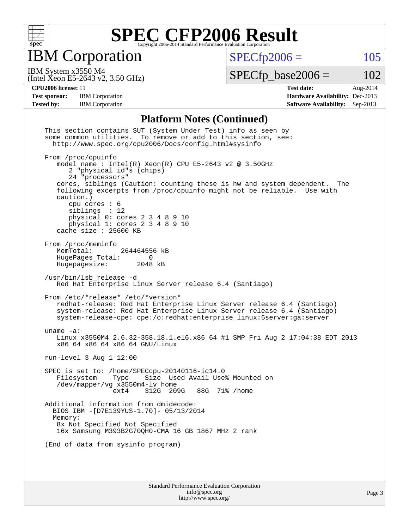

IBM Corporation

 $SPECfp2006 = 105$  $SPECfp2006 = 105$ 

(Intel Xeon E5-2643 v2, 3.50 GHz) IBM System x3550 M4

 $SPECTp\_base2006 = 102$ 

**[CPU2006 license:](http://www.spec.org/auto/cpu2006/Docs/result-fields.html#CPU2006license)** 11 **[Test date:](http://www.spec.org/auto/cpu2006/Docs/result-fields.html#Testdate)** Aug-2014 **[Test sponsor:](http://www.spec.org/auto/cpu2006/Docs/result-fields.html#Testsponsor)** IBM Corporation **[Hardware Availability:](http://www.spec.org/auto/cpu2006/Docs/result-fields.html#HardwareAvailability)** Dec-2013 **[Tested by:](http://www.spec.org/auto/cpu2006/Docs/result-fields.html#Testedby)** IBM Corporation **[Software Availability:](http://www.spec.org/auto/cpu2006/Docs/result-fields.html#SoftwareAvailability)** Sep-2013

#### **[Platform Notes \(Continued\)](http://www.spec.org/auto/cpu2006/Docs/result-fields.html#PlatformNotes)**

| This section contains SUT (System Under Test) info as seen by<br>some common utilities. To remove or add to this section, see:<br>http://www.spec.org/cpu2006/Docs/config.html#sysinfo                                                                                                                                                                                                                                             |
|------------------------------------------------------------------------------------------------------------------------------------------------------------------------------------------------------------------------------------------------------------------------------------------------------------------------------------------------------------------------------------------------------------------------------------|
| From /proc/cpuinfo<br>model name: $Intel(R)$ Xeon(R) CPU E5-2643 v2 @ 3.50GHz<br>2 "physical id"s (chips)<br>24 "processors"<br>cores, siblings (Caution: counting these is hw and system dependent.<br>The<br>following excerpts from /proc/cpuinfo might not be reliable. Use with<br>caution.)<br>cpu cores $: 6$<br>siblings : 12<br>physical 0: cores 2 3 4 8 9 10<br>physical 1: cores 2 3 4 8 9 10<br>cache size : 25600 KB |
| From /proc/meminfo<br>MemTotal:<br>264464556 kB<br>HugePages_Total:<br>0<br>Hugepagesize: 2048 kB                                                                                                                                                                                                                                                                                                                                  |
| /usr/bin/lsb release -d<br>Red Hat Enterprise Linux Server release 6.4 (Santiago)                                                                                                                                                                                                                                                                                                                                                  |
| From /etc/*release* /etc/*version*<br>redhat-release: Red Hat Enterprise Linux Server release 6.4 (Santiago)<br>system-release: Red Hat Enterprise Linux Server release 6.4 (Santiago)<br>system-release-cpe: cpe:/o:redhat:enterprise_linux:6server:ga:server                                                                                                                                                                     |
| uname $-a$ :<br>Linux x3550M4 2.6.32-358.18.1.el6.x86_64 #1 SMP Fri Aug 2 17:04:38 EDT 2013<br>x86_64 x86_64 x86_64 GNU/Linux                                                                                                                                                                                                                                                                                                      |
| run-level 3 Aug 1 12:00                                                                                                                                                                                                                                                                                                                                                                                                            |
| SPEC is set to: /home/SPECcpu-20140116-ic14.0<br>Size Used Avail Use% Mounted on<br>Filesystem<br>Type<br>/dev/mapper/vg_x3550m4-lv_home<br>ext4 312G 209G 88G 71% / home                                                                                                                                                                                                                                                          |
| Additional information from dmidecode:<br>BIOS IBM -[D7E139YUS-1.70]- 05/13/2014<br>Memory:<br>8x Not Specified Not Specified<br>16x Samsung M393B2G70QH0-CMA 16 GB 1867 MHz 2 rank                                                                                                                                                                                                                                                |
| (End of data from sysinfo program)                                                                                                                                                                                                                                                                                                                                                                                                 |
|                                                                                                                                                                                                                                                                                                                                                                                                                                    |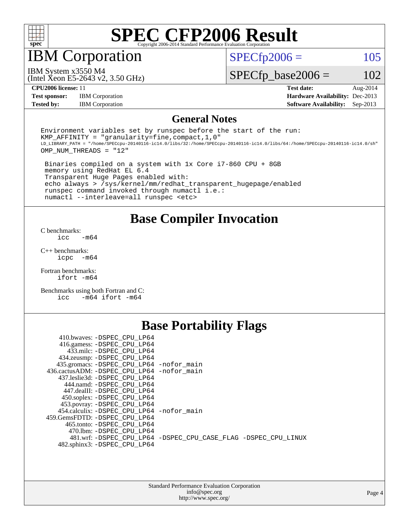

IBM Corporation

 $SPECTp2006 = 105$ 

(Intel Xeon E5-2643 v2, 3.50 GHz) IBM System x3550 M4

 $SPECfp\_base2006 = 102$ 

**[Test sponsor:](http://www.spec.org/auto/cpu2006/Docs/result-fields.html#Testsponsor)** IBM Corporation **[Hardware Availability:](http://www.spec.org/auto/cpu2006/Docs/result-fields.html#HardwareAvailability)** Dec-2013

**[CPU2006 license:](http://www.spec.org/auto/cpu2006/Docs/result-fields.html#CPU2006license)** 11 **[Test date:](http://www.spec.org/auto/cpu2006/Docs/result-fields.html#Testdate)** Aug-2014 **[Tested by:](http://www.spec.org/auto/cpu2006/Docs/result-fields.html#Testedby)** IBM Corporation **[Software Availability:](http://www.spec.org/auto/cpu2006/Docs/result-fields.html#SoftwareAvailability)** Sep-2013

### **[General Notes](http://www.spec.org/auto/cpu2006/Docs/result-fields.html#GeneralNotes)**

Environment variables set by runspec before the start of the run: KMP AFFINITY = "granularity=fine, compact,  $1,0$ " LD\_LIBRARY\_PATH = "/home/SPECcpu-20140116-ic14.0/libs/32:/home/SPECcpu-20140116-ic14.0/libs/64:/home/SPECcpu-20140116-ic14.0/sh" OMP\_NUM\_THREADS = "12"

 Binaries compiled on a system with 1x Core i7-860 CPU + 8GB memory using RedHat EL 6.4 Transparent Huge Pages enabled with: echo always > /sys/kernel/mm/redhat\_transparent\_hugepage/enabled runspec command invoked through numactl i.e.: numactl --interleave=all runspec <etc>

**[Base Compiler Invocation](http://www.spec.org/auto/cpu2006/Docs/result-fields.html#BaseCompilerInvocation)**

[C benchmarks](http://www.spec.org/auto/cpu2006/Docs/result-fields.html#Cbenchmarks):  $\text{icc}$   $-\text{m64}$ 

[C++ benchmarks:](http://www.spec.org/auto/cpu2006/Docs/result-fields.html#CXXbenchmarks) [icpc -m64](http://www.spec.org/cpu2006/results/res2014q3/cpu2006-20140808-30830.flags.html#user_CXXbase_intel_icpc_64bit_bedb90c1146cab66620883ef4f41a67e)

[Fortran benchmarks](http://www.spec.org/auto/cpu2006/Docs/result-fields.html#Fortranbenchmarks): [ifort -m64](http://www.spec.org/cpu2006/results/res2014q3/cpu2006-20140808-30830.flags.html#user_FCbase_intel_ifort_64bit_ee9d0fb25645d0210d97eb0527dcc06e)

[Benchmarks using both Fortran and C](http://www.spec.org/auto/cpu2006/Docs/result-fields.html#BenchmarksusingbothFortranandC): [icc -m64](http://www.spec.org/cpu2006/results/res2014q3/cpu2006-20140808-30830.flags.html#user_CC_FCbase_intel_icc_64bit_0b7121f5ab7cfabee23d88897260401c) [ifort -m64](http://www.spec.org/cpu2006/results/res2014q3/cpu2006-20140808-30830.flags.html#user_CC_FCbase_intel_ifort_64bit_ee9d0fb25645d0210d97eb0527dcc06e)

### **[Base Portability Flags](http://www.spec.org/auto/cpu2006/Docs/result-fields.html#BasePortabilityFlags)**

| 410.bwaves: -DSPEC CPU LP64                 |                                                                |
|---------------------------------------------|----------------------------------------------------------------|
| 416.gamess: -DSPEC_CPU_LP64                 |                                                                |
| 433.milc: -DSPEC CPU LP64                   |                                                                |
| 434.zeusmp: - DSPEC_CPU_LP64                |                                                                |
| 435.gromacs: -DSPEC_CPU_LP64 -nofor_main    |                                                                |
| 436.cactusADM: -DSPEC CPU LP64 -nofor main  |                                                                |
| 437.leslie3d: -DSPEC CPU LP64               |                                                                |
| 444.namd: -DSPEC CPU LP64                   |                                                                |
| 447.dealII: -DSPEC CPU LP64                 |                                                                |
| 450.soplex: -DSPEC_CPU_LP64                 |                                                                |
| 453.povray: -DSPEC_CPU_LP64                 |                                                                |
| 454.calculix: - DSPEC CPU LP64 - nofor main |                                                                |
| 459.GemsFDTD: - DSPEC_CPU LP64              |                                                                |
| 465.tonto: - DSPEC CPU LP64                 |                                                                |
| 470.1bm: - DSPEC CPU LP64                   |                                                                |
|                                             | 481.wrf: -DSPEC CPU_LP64 -DSPEC_CPU_CASE_FLAG -DSPEC_CPU_LINUX |
| 482.sphinx3: -DSPEC_CPU_LP64                |                                                                |
|                                             |                                                                |

| <b>Standard Performance Evaluation Corporation</b> |
|----------------------------------------------------|
| info@spec.org                                      |
| http://www.spec.org/                               |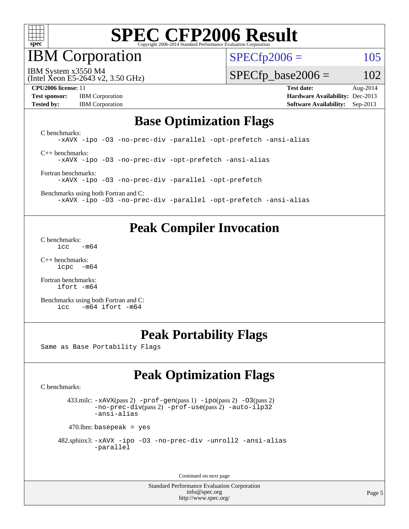

IBM Corporation

 $SPECfp2006 = 105$  $SPECfp2006 = 105$ 

(Intel Xeon E5-2643 v2, 3.50 GHz) IBM System x3550 M4

 $SPECfp\_base2006 = 102$ 

**[Test sponsor:](http://www.spec.org/auto/cpu2006/Docs/result-fields.html#Testsponsor)** IBM Corporation **[Hardware Availability:](http://www.spec.org/auto/cpu2006/Docs/result-fields.html#HardwareAvailability)** Dec-2013

**[CPU2006 license:](http://www.spec.org/auto/cpu2006/Docs/result-fields.html#CPU2006license)** 11 **[Test date:](http://www.spec.org/auto/cpu2006/Docs/result-fields.html#Testdate)** Aug-2014 **[Tested by:](http://www.spec.org/auto/cpu2006/Docs/result-fields.html#Testedby)** IBM Corporation **[Software Availability:](http://www.spec.org/auto/cpu2006/Docs/result-fields.html#SoftwareAvailability)** Sep-2013

### **[Base Optimization Flags](http://www.spec.org/auto/cpu2006/Docs/result-fields.html#BaseOptimizationFlags)**

[C benchmarks](http://www.spec.org/auto/cpu2006/Docs/result-fields.html#Cbenchmarks): [-xAVX](http://www.spec.org/cpu2006/results/res2014q3/cpu2006-20140808-30830.flags.html#user_CCbase_f-xAVX) [-ipo](http://www.spec.org/cpu2006/results/res2014q3/cpu2006-20140808-30830.flags.html#user_CCbase_f-ipo) [-O3](http://www.spec.org/cpu2006/results/res2014q3/cpu2006-20140808-30830.flags.html#user_CCbase_f-O3) [-no-prec-div](http://www.spec.org/cpu2006/results/res2014q3/cpu2006-20140808-30830.flags.html#user_CCbase_f-no-prec-div) [-parallel](http://www.spec.org/cpu2006/results/res2014q3/cpu2006-20140808-30830.flags.html#user_CCbase_f-parallel) [-opt-prefetch](http://www.spec.org/cpu2006/results/res2014q3/cpu2006-20140808-30830.flags.html#user_CCbase_f-opt-prefetch) [-ansi-alias](http://www.spec.org/cpu2006/results/res2014q3/cpu2006-20140808-30830.flags.html#user_CCbase_f-ansi-alias) [C++ benchmarks:](http://www.spec.org/auto/cpu2006/Docs/result-fields.html#CXXbenchmarks)

[-xAVX](http://www.spec.org/cpu2006/results/res2014q3/cpu2006-20140808-30830.flags.html#user_CXXbase_f-xAVX) [-ipo](http://www.spec.org/cpu2006/results/res2014q3/cpu2006-20140808-30830.flags.html#user_CXXbase_f-ipo) [-O3](http://www.spec.org/cpu2006/results/res2014q3/cpu2006-20140808-30830.flags.html#user_CXXbase_f-O3) [-no-prec-div](http://www.spec.org/cpu2006/results/res2014q3/cpu2006-20140808-30830.flags.html#user_CXXbase_f-no-prec-div) [-opt-prefetch](http://www.spec.org/cpu2006/results/res2014q3/cpu2006-20140808-30830.flags.html#user_CXXbase_f-opt-prefetch) [-ansi-alias](http://www.spec.org/cpu2006/results/res2014q3/cpu2006-20140808-30830.flags.html#user_CXXbase_f-ansi-alias)

[Fortran benchmarks](http://www.spec.org/auto/cpu2006/Docs/result-fields.html#Fortranbenchmarks): [-xAVX](http://www.spec.org/cpu2006/results/res2014q3/cpu2006-20140808-30830.flags.html#user_FCbase_f-xAVX) [-ipo](http://www.spec.org/cpu2006/results/res2014q3/cpu2006-20140808-30830.flags.html#user_FCbase_f-ipo) [-O3](http://www.spec.org/cpu2006/results/res2014q3/cpu2006-20140808-30830.flags.html#user_FCbase_f-O3) [-no-prec-div](http://www.spec.org/cpu2006/results/res2014q3/cpu2006-20140808-30830.flags.html#user_FCbase_f-no-prec-div) [-parallel](http://www.spec.org/cpu2006/results/res2014q3/cpu2006-20140808-30830.flags.html#user_FCbase_f-parallel) [-opt-prefetch](http://www.spec.org/cpu2006/results/res2014q3/cpu2006-20140808-30830.flags.html#user_FCbase_f-opt-prefetch)

[Benchmarks using both Fortran and C](http://www.spec.org/auto/cpu2006/Docs/result-fields.html#BenchmarksusingbothFortranandC): [-xAVX](http://www.spec.org/cpu2006/results/res2014q3/cpu2006-20140808-30830.flags.html#user_CC_FCbase_f-xAVX) [-ipo](http://www.spec.org/cpu2006/results/res2014q3/cpu2006-20140808-30830.flags.html#user_CC_FCbase_f-ipo) [-O3](http://www.spec.org/cpu2006/results/res2014q3/cpu2006-20140808-30830.flags.html#user_CC_FCbase_f-O3) [-no-prec-div](http://www.spec.org/cpu2006/results/res2014q3/cpu2006-20140808-30830.flags.html#user_CC_FCbase_f-no-prec-div) [-parallel](http://www.spec.org/cpu2006/results/res2014q3/cpu2006-20140808-30830.flags.html#user_CC_FCbase_f-parallel) [-opt-prefetch](http://www.spec.org/cpu2006/results/res2014q3/cpu2006-20140808-30830.flags.html#user_CC_FCbase_f-opt-prefetch) [-ansi-alias](http://www.spec.org/cpu2006/results/res2014q3/cpu2006-20140808-30830.flags.html#user_CC_FCbase_f-ansi-alias)

### **[Peak Compiler Invocation](http://www.spec.org/auto/cpu2006/Docs/result-fields.html#PeakCompilerInvocation)**

[C benchmarks](http://www.spec.org/auto/cpu2006/Docs/result-fields.html#Cbenchmarks):  $\text{icc}$   $-\text{m64}$ 

[C++ benchmarks:](http://www.spec.org/auto/cpu2006/Docs/result-fields.html#CXXbenchmarks) [icpc -m64](http://www.spec.org/cpu2006/results/res2014q3/cpu2006-20140808-30830.flags.html#user_CXXpeak_intel_icpc_64bit_bedb90c1146cab66620883ef4f41a67e)

[Fortran benchmarks](http://www.spec.org/auto/cpu2006/Docs/result-fields.html#Fortranbenchmarks): [ifort -m64](http://www.spec.org/cpu2006/results/res2014q3/cpu2006-20140808-30830.flags.html#user_FCpeak_intel_ifort_64bit_ee9d0fb25645d0210d97eb0527dcc06e)

[Benchmarks using both Fortran and C](http://www.spec.org/auto/cpu2006/Docs/result-fields.html#BenchmarksusingbothFortranandC): [icc -m64](http://www.spec.org/cpu2006/results/res2014q3/cpu2006-20140808-30830.flags.html#user_CC_FCpeak_intel_icc_64bit_0b7121f5ab7cfabee23d88897260401c) [ifort -m64](http://www.spec.org/cpu2006/results/res2014q3/cpu2006-20140808-30830.flags.html#user_CC_FCpeak_intel_ifort_64bit_ee9d0fb25645d0210d97eb0527dcc06e)

### **[Peak Portability Flags](http://www.spec.org/auto/cpu2006/Docs/result-fields.html#PeakPortabilityFlags)**

Same as Base Portability Flags

## **[Peak Optimization Flags](http://www.spec.org/auto/cpu2006/Docs/result-fields.html#PeakOptimizationFlags)**

[C benchmarks](http://www.spec.org/auto/cpu2006/Docs/result-fields.html#Cbenchmarks):

 433.milc: [-xAVX](http://www.spec.org/cpu2006/results/res2014q3/cpu2006-20140808-30830.flags.html#user_peakPASS2_CFLAGSPASS2_LDFLAGS433_milc_f-xAVX)(pass 2) [-prof-gen](http://www.spec.org/cpu2006/results/res2014q3/cpu2006-20140808-30830.flags.html#user_peakPASS1_CFLAGSPASS1_LDFLAGS433_milc_prof_gen_e43856698f6ca7b7e442dfd80e94a8fc)(pass 1) [-ipo](http://www.spec.org/cpu2006/results/res2014q3/cpu2006-20140808-30830.flags.html#user_peakPASS2_CFLAGSPASS2_LDFLAGS433_milc_f-ipo)(pass 2) [-O3](http://www.spec.org/cpu2006/results/res2014q3/cpu2006-20140808-30830.flags.html#user_peakPASS2_CFLAGSPASS2_LDFLAGS433_milc_f-O3)(pass 2) [-no-prec-div](http://www.spec.org/cpu2006/results/res2014q3/cpu2006-20140808-30830.flags.html#user_peakPASS2_CFLAGSPASS2_LDFLAGS433_milc_f-no-prec-div)(pass 2) [-prof-use](http://www.spec.org/cpu2006/results/res2014q3/cpu2006-20140808-30830.flags.html#user_peakPASS2_CFLAGSPASS2_LDFLAGS433_milc_prof_use_bccf7792157ff70d64e32fe3e1250b55)(pass 2) [-auto-ilp32](http://www.spec.org/cpu2006/results/res2014q3/cpu2006-20140808-30830.flags.html#user_peakCOPTIMIZE433_milc_f-auto-ilp32) [-ansi-alias](http://www.spec.org/cpu2006/results/res2014q3/cpu2006-20140808-30830.flags.html#user_peakCOPTIMIZE433_milc_f-ansi-alias)

 $470$ .lbm: basepeak = yes

```
 482.sphinx3: -xAVX -ipo -O3 -no-prec-div -unroll2 -ansi-alias
         -parallel
```
Continued on next page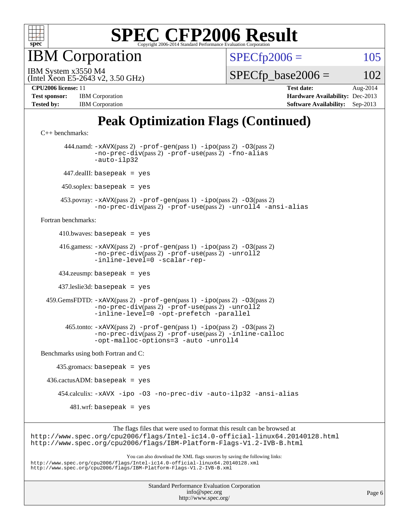

**BM** Corporation

 $SPECfp2006 = 105$  $SPECfp2006 = 105$ 

(Intel Xeon E5-2643 v2, 3.50 GHz) IBM System x3550 M4

 $SPECTp\_base2006 = 102$ 

| <b>Test sponsor:</b> | <b>IBM</b> Corporation |
|----------------------|------------------------|
| <b>Tested by:</b>    | <b>IBM</b> Corporation |

**[CPU2006 license:](http://www.spec.org/auto/cpu2006/Docs/result-fields.html#CPU2006license)** 11 **[Test date:](http://www.spec.org/auto/cpu2006/Docs/result-fields.html#Testdate)** Aug-2014 **[Hardware Availability:](http://www.spec.org/auto/cpu2006/Docs/result-fields.html#HardwareAvailability)** Dec-2013 **[Software Availability:](http://www.spec.org/auto/cpu2006/Docs/result-fields.html#SoftwareAvailability)** Sep-2013

## **[Peak Optimization Flags \(Continued\)](http://www.spec.org/auto/cpu2006/Docs/result-fields.html#PeakOptimizationFlags)**

```
C++ benchmarks: 
        444.namd: -xAVX(pass 2) -prof-gen(pass 1) -ipo(pass 2) -O3(pass 2)
                -no-prec-div(pass 2) -prof-use(pass 2) -fno-alias
                -auto-ilp32
       447.dealII: basepeak = yes
      450.soplex: basepeak = yes
      453.povray: -xAVX(pass 2) -prof-gen(pass 1) -ipo(pass 2) -O3(pass 2)
                -no-prec-div(pass 2) -prof-use(pass 2) -unroll4 -ansi-alias
Fortran benchmarks: 
     410.bwaves: basepeak = yes 416.gamess: -xAVX(pass 2) -prof-gen(pass 1) -ipo(pass 2) -O3(pass 2)
                -no-prec-div(pass 2) -prof-use(pass 2) -unroll2
                -inline-level=0 -scalar-rep-
      434.zeusmp: basepeak = yes
      437.leslie3d: basepeak = yes
  459.GemsFDTD: -xAVX(pass 2) -prof-gen(pass 1) -ipo(pass 2) -O3(pass 2)
                -no-prec-div(pass 2) -prof-use(pass 2) -unroll2
                -inline-level=0 -opt-prefetch -parallel
        465.tonto: -xAVX(pass 2) -prof-gen(pass 1) -ipo(pass 2) -O3(pass 2)
                -no-prec-div(pass 2) -prof-use(pass 2) -inline-calloc
                -opt-malloc-options=3 -auto -unroll4
Benchmarks using both Fortran and C: 
     435.gromacs: basepeak = yes
 436.cactusADM: basepeak = yes 454.calculix: -xAVX -ipo -O3 -no-prec-div -auto-ilp32 -ansi-alias
        481.wrf: basepeak = yes
                     The flags files that were used to format this result can be browsed at
```
<http://www.spec.org/cpu2006/flags/Intel-ic14.0-official-linux64.20140128.html> <http://www.spec.org/cpu2006/flags/IBM-Platform-Flags-V1.2-IVB-B.html>

You can also download the XML flags sources by saving the following links: <http://www.spec.org/cpu2006/flags/Intel-ic14.0-official-linux64.20140128.xml> <http://www.spec.org/cpu2006/flags/IBM-Platform-Flags-V1.2-IVB-B.xml>